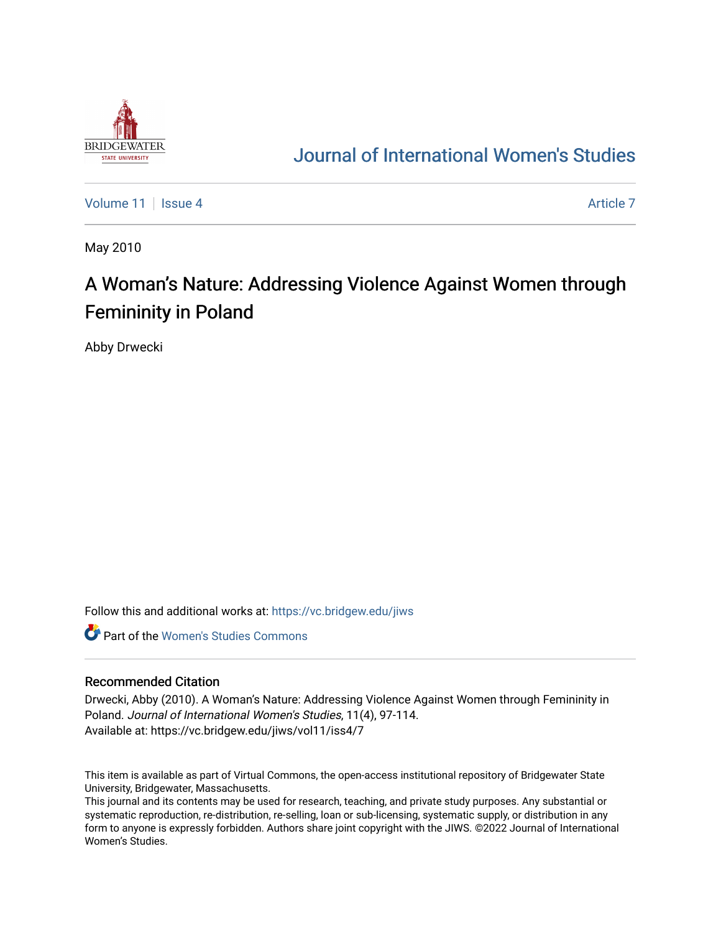

## [Journal of International Women's Studies](https://vc.bridgew.edu/jiws)

[Volume 11](https://vc.bridgew.edu/jiws/vol11) | [Issue 4](https://vc.bridgew.edu/jiws/vol11/iss4) [Article 7](https://vc.bridgew.edu/jiws/vol11/iss4/7) Article 7 Article 7 Article 7 Article 7 Article 7 Article 7 Article 7

May 2010

# A Woman's Nature: Addressing Violence Against Women through Femininity in Poland

Abby Drwecki

Follow this and additional works at: [https://vc.bridgew.edu/jiws](https://vc.bridgew.edu/jiws?utm_source=vc.bridgew.edu%2Fjiws%2Fvol11%2Fiss4%2F7&utm_medium=PDF&utm_campaign=PDFCoverPages)

**C** Part of the Women's Studies Commons

#### Recommended Citation

Drwecki, Abby (2010). A Woman's Nature: Addressing Violence Against Women through Femininity in Poland. Journal of International Women's Studies, 11(4), 97-114. Available at: https://vc.bridgew.edu/jiws/vol11/iss4/7

This item is available as part of Virtual Commons, the open-access institutional repository of Bridgewater State University, Bridgewater, Massachusetts.

This journal and its contents may be used for research, teaching, and private study purposes. Any substantial or systematic reproduction, re-distribution, re-selling, loan or sub-licensing, systematic supply, or distribution in any form to anyone is expressly forbidden. Authors share joint copyright with the JIWS. ©2022 Journal of International Women's Studies.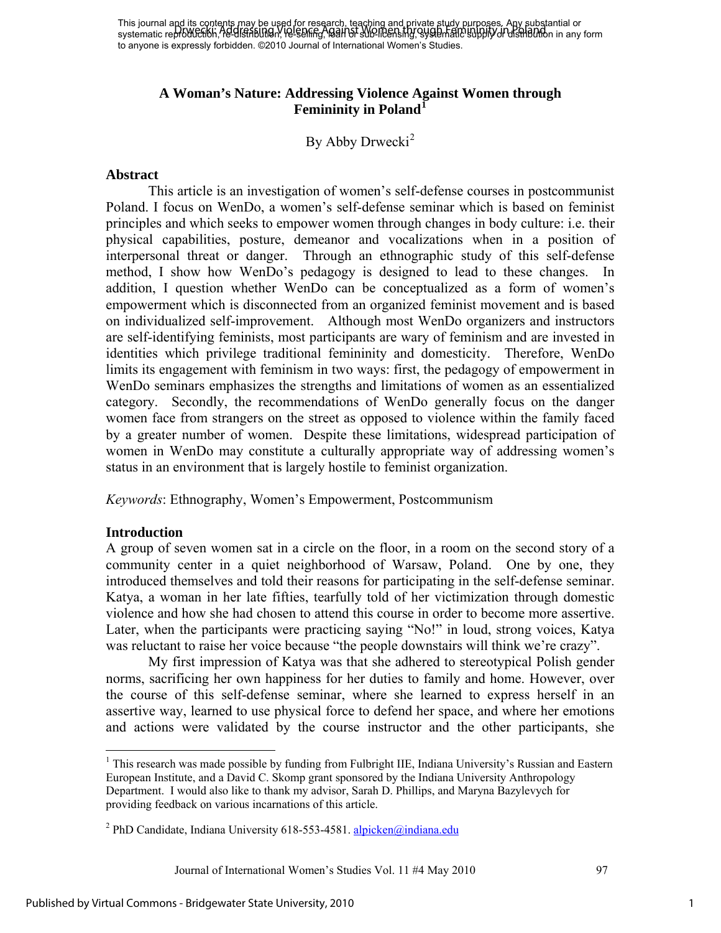### **A Woman's Nature: Addressing Violence Against Women through Femininity in Poland[1](#page-1-0)**

By Abby Drwecki<sup>[2](#page-1-1)</sup>

#### **Abstract**

This article is an investigation of women's self-defense courses in postcommunist Poland. I focus on WenDo, a women's self-defense seminar which is based on feminist principles and which seeks to empower women through changes in body culture: i.e. their physical capabilities, posture, demeanor and vocalizations when in a position of interpersonal threat or danger. Through an ethnographic study of this self-defense method, I show how WenDo's pedagogy is designed to lead to these changes. In addition, I question whether WenDo can be conceptualized as a form of women's empowerment which is disconnected from an organized feminist movement and is based on individualized self-improvement. Although most WenDo organizers and instructors are self-identifying feminists, most participants are wary of feminism and are invested in identities which privilege traditional femininity and domesticity. Therefore, WenDo limits its engagement with feminism in two ways: first, the pedagogy of empowerment in WenDo seminars emphasizes the strengths and limitations of women as an essentialized category. Secondly, the recommendations of WenDo generally focus on the danger women face from strangers on the street as opposed to violence within the family faced by a greater number of women. Despite these limitations, widespread participation of women in WenDo may constitute a culturally appropriate way of addressing women's status in an environment that is largely hostile to feminist organization.

*Keywords*: Ethnography, Women's Empowerment, Postcommunism

#### **Introduction**

A group of seven women sat in a circle on the floor, in a room on the second story of a community center in a quiet neighborhood of Warsaw, Poland. One by one, they introduced themselves and told their reasons for participating in the self-defense seminar. Katya, a woman in her late fifties, tearfully told of her victimization through domestic violence and how she had chosen to attend this course in order to become more assertive. Later, when the participants were practicing saying "No!" in loud, strong voices, Katya was reluctant to raise her voice because "the people downstairs will think we're crazy".

My first impression of Katya was that she adhered to stereotypical Polish gender norms, sacrificing her own happiness for her duties to family and home. However, over the course of this self-defense seminar, where she learned to express herself in an assertive way, learned to use physical force to defend her space, and where her emotions and actions were validated by the course instructor and the other participants, she

Journal of International Women's Studies Vol. 11 #4 May 2010 97

1

<span id="page-1-0"></span><sup>&</sup>lt;sup>1</sup> This research was made possible by funding from Fulbright IIE, Indiana University's Russian and Eastern European Institute, and a David C. Skomp grant sponsored by the Indiana University Anthropology Department. I would also like to thank my advisor, Sarah D. Phillips, and Maryna Bazylevych for providing feedback on various incarnations of this article.

<span id="page-1-1"></span><sup>&</sup>lt;sup>2</sup> PhD Candidate, Indiana University 618-553-4581. **alpicken**@indiana.edu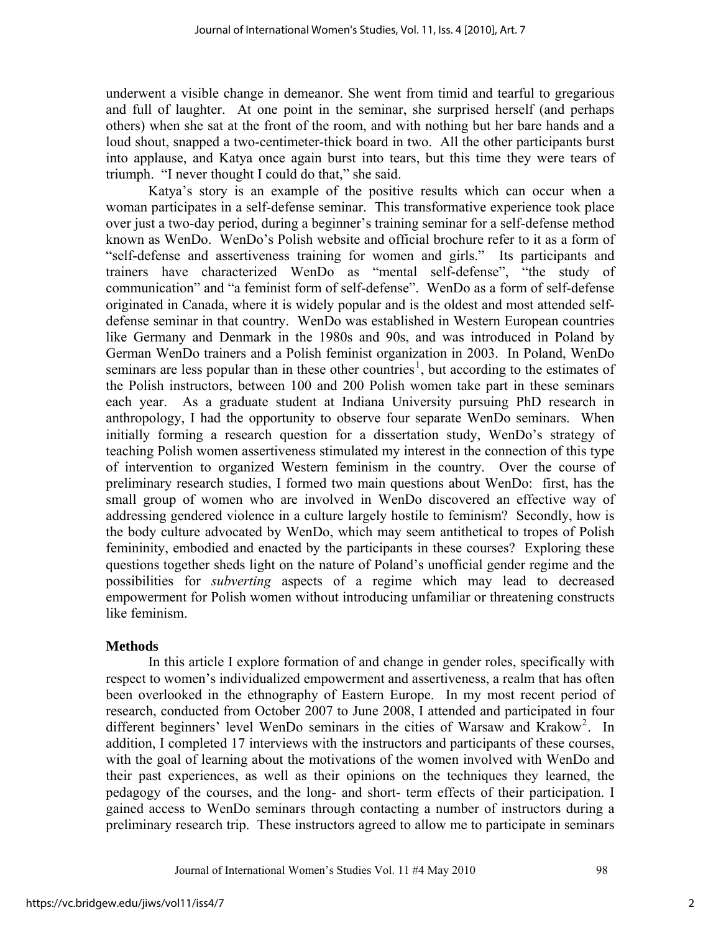underwent a visible change in demeanor. She went from timid and tearful to gregarious and full of laughter. At one point in the seminar, she surprised herself (and perhaps others) when she sat at the front of the room, and with nothing but her bare hands and a loud shout, snapped a two-centimeter-thick board in two. All the other participants burst into applause, and Katya once again burst into tears, but this time they were tears of triumph. "I never thought I could do that," she said.

 Katya's story is an example of the positive results which can occur when a woman participates in a self-defense seminar. This transformative experience took place over just a two-day period, during a beginner's training seminar for a self-defense method known as WenDo. WenDo's Polish website and official brochure refer to it as a form of "self-defense and assertiveness training for women and girls." Its participants and trainers have characterized WenDo as "mental self-defense", "the study of communication" and "a feminist form of self-defense". WenDo as a form of self-defense originated in Canada, where it is widely popular and is the oldest and most attended selfdefense seminar in that country. WenDo was established in Western European countries like Germany and Denmark in the 1980s and 90s, and was introduced in Poland by German WenDo trainers and a Polish feminist organization in 2003. In Poland, WenDo seminars are less popular than in these other countries<sup>[1](#page-14-0)</sup>, but according to the estimates of the Polish instructors, between 100 and 200 Polish women take part in these seminars each year. As a graduate student at Indiana University pursuing PhD research in anthropology, I had the opportunity to observe four separate WenDo seminars. When initially forming a research question for a dissertation study, WenDo's strategy of teaching Polish women assertiveness stimulated my interest in the connection of this type of intervention to organized Western feminism in the country. Over the course of preliminary research studies, I formed two main questions about WenDo: first, has the small group of women who are involved in WenDo discovered an effective way of addressing gendered violence in a culture largely hostile to feminism? Secondly, how is the body culture advocated by WenDo, which may seem antithetical to tropes of Polish femininity, embodied and enacted by the participants in these courses? Exploring these questions together sheds light on the nature of Poland's unofficial gender regime and the possibilities for *subverting* aspects of a regime which may lead to decreased empowerment for Polish women without introducing unfamiliar or threatening constructs like feminism.

#### **Methods**

In this article I explore formation of and change in gender roles, specifically with respect to women's individualized empowerment and assertiveness, a realm that has often been overlooked in the ethnography of Eastern Europe. In my most recent period of research, conducted from October 2007 to June 2008, I attended and participated in four different beginners' level WenDo seminars in the cities of Warsaw and Krakow<sup>[2](#page-14-1)</sup>. In addition, I completed 17 interviews with the instructors and participants of these courses, with the goal of learning about the motivations of the women involved with WenDo and their past experiences, as well as their opinions on the techniques they learned, the pedagogy of the courses, and the long- and short- term effects of their participation. I gained access to WenDo seminars through contacting a number of instructors during a preliminary research trip. These instructors agreed to allow me to participate in seminars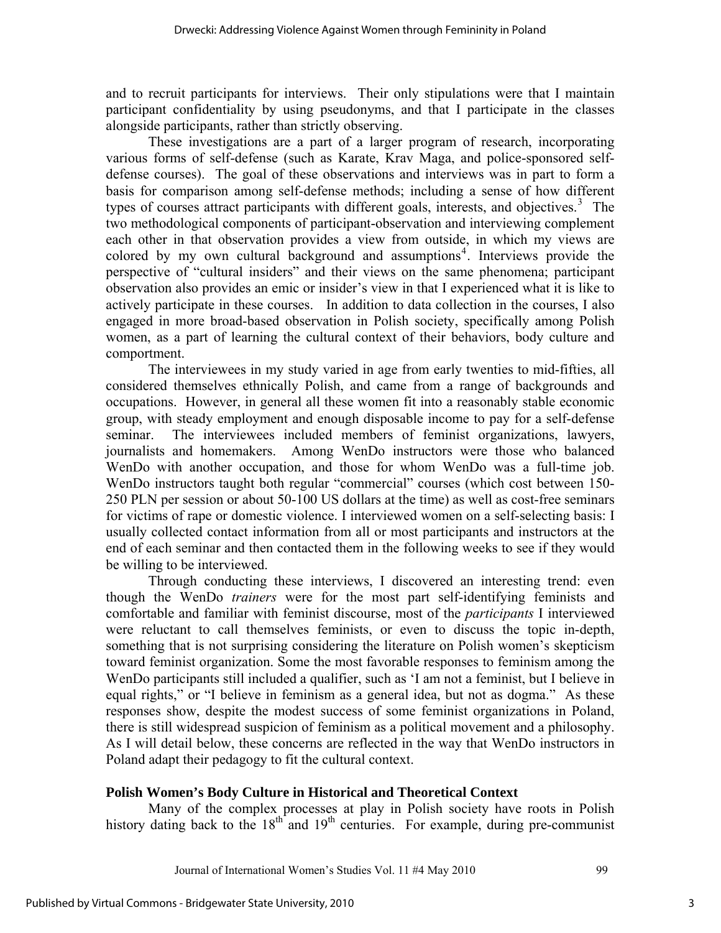and to recruit participants for interviews. Their only stipulations were that I maintain participant confidentiality by using pseudonyms, and that I participate in the classes alongside participants, rather than strictly observing.

These investigations are a part of a larger program of research, incorporating various forms of self-defense (such as Karate, Krav Maga, and police-sponsored selfdefense courses). The goal of these observations and interviews was in part to form a basis for comparison among self-defense methods; including a sense of how different types of courses attract participants with different goals, interests, and objectives.<sup>[3](#page-14-1)</sup> The two methodological components of participant-observation and interviewing complement each other in that observation provides a view from outside, in which my views are colored by my own cultural background and assumptions<sup>[4](#page-14-1)</sup>. Interviews provide the perspective of "cultural insiders" and their views on the same phenomena; participant observation also provides an emic or insider's view in that I experienced what it is like to actively participate in these courses. In addition to data collection in the courses, I also engaged in more broad-based observation in Polish society, specifically among Polish women, as a part of learning the cultural context of their behaviors, body culture and comportment.

 The interviewees in my study varied in age from early twenties to mid-fifties, all considered themselves ethnically Polish, and came from a range of backgrounds and occupations. However, in general all these women fit into a reasonably stable economic group, with steady employment and enough disposable income to pay for a self-defense seminar. The interviewees included members of feminist organizations, lawyers, journalists and homemakers. Among WenDo instructors were those who balanced WenDo with another occupation, and those for whom WenDo was a full-time job. WenDo instructors taught both regular "commercial" courses (which cost between 150- 250 PLN per session or about 50-100 US dollars at the time) as well as cost-free seminars for victims of rape or domestic violence. I interviewed women on a self-selecting basis: I usually collected contact information from all or most participants and instructors at the end of each seminar and then contacted them in the following weeks to see if they would be willing to be interviewed.

 Through conducting these interviews, I discovered an interesting trend: even though the WenDo *trainers* were for the most part self-identifying feminists and comfortable and familiar with feminist discourse, most of the *participants* I interviewed were reluctant to call themselves feminists, or even to discuss the topic in-depth, something that is not surprising considering the literature on Polish women's skepticism toward feminist organization. Some the most favorable responses to feminism among the WenDo participants still included a qualifier, such as 'I am not a feminist, but I believe in equal rights," or "I believe in feminism as a general idea, but not as dogma." As these responses show, despite the modest success of some feminist organizations in Poland, there is still widespread suspicion of feminism as a political movement and a philosophy. As I will detail below, these concerns are reflected in the way that WenDo instructors in Poland adapt their pedagogy to fit the cultural context.

## **Polish Women's Body Culture in Historical and Theoretical Context**

Many of the complex processes at play in Polish society have roots in Polish history dating back to the  $18<sup>th</sup>$  and  $19<sup>th</sup>$  centuries. For example, during pre-communist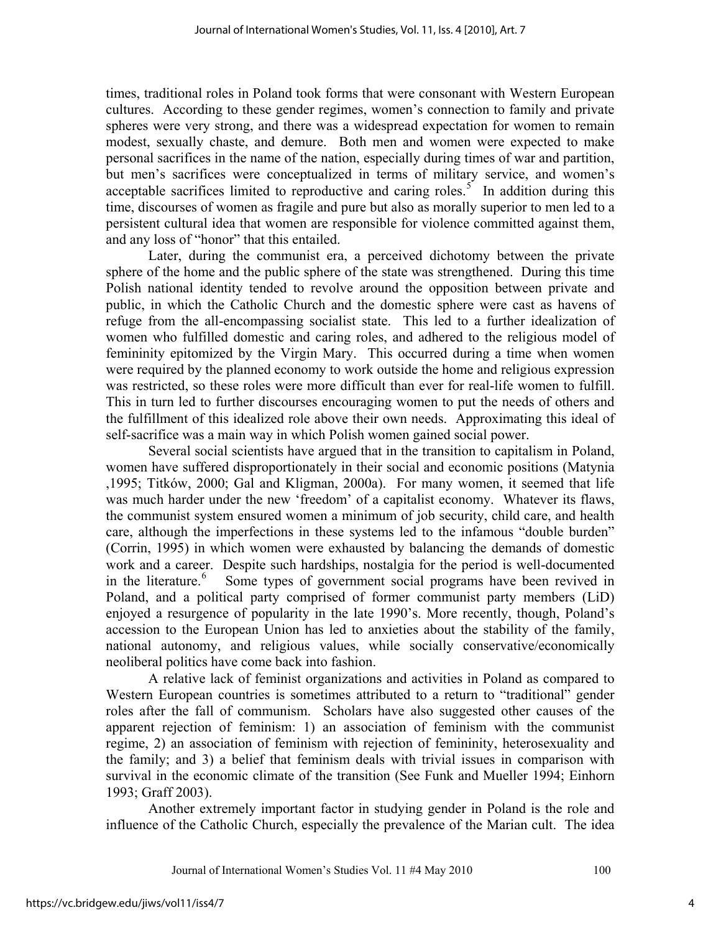times, traditional roles in Poland took forms that were consonant with Western European cultures. According to these gender regimes, women's connection to family and private spheres were very strong, and there was a widespread expectation for women to remain modest, sexually chaste, and demure. Both men and women were expected to make personal sacrifices in the name of the nation, especially during times of war and partition, but men's sacrifices were conceptualized in terms of military service, and women's acceptable sacrifices limited to reproductive and caring roles.<sup>[5](#page-14-1)</sup> In addition during this time, discourses of women as fragile and pure but also as morally superior to men led to a persistent cultural idea that women are responsible for violence committed against them, and any loss of "honor" that this entailed.

Later, during the communist era, a perceived dichotomy between the private sphere of the home and the public sphere of the state was strengthened. During this time Polish national identity tended to revolve around the opposition between private and public, in which the Catholic Church and the domestic sphere were cast as havens of refuge from the all-encompassing socialist state. This led to a further idealization of women who fulfilled domestic and caring roles, and adhered to the religious model of femininity epitomized by the Virgin Mary. This occurred during a time when women were required by the planned economy to work outside the home and religious expression was restricted, so these roles were more difficult than ever for real-life women to fulfill. This in turn led to further discourses encouraging women to put the needs of others and the fulfillment of this idealized role above their own needs. Approximating this ideal of self-sacrifice was a main way in which Polish women gained social power.

Several social scientists have argued that in the transition to capitalism in Poland, women have suffered disproportionately in their social and economic positions (Matynia ,1995; Titków, 2000; Gal and Kligman, 2000a). For many women, it seemed that life was much harder under the new 'freedom' of a capitalist economy. Whatever its flaws, the communist system ensured women a minimum of job security, child care, and health care, although the imperfections in these systems led to the infamous "double burden" (Corrin, 1995) in which women were exhausted by balancing the demands of domestic work and a career. Despite such hardships, nostalgia for the period is well-documented in the literature.<sup>[6](#page-14-1)</sup> Some types of government social programs have been revived in Poland, and a political party comprised of former communist party members (LiD) enjoyed a resurgence of popularity in the late 1990's. More recently, though, Poland's accession to the European Union has led to anxieties about the stability of the family, national autonomy, and religious values, while socially conservative/economically neoliberal politics have come back into fashion.

 A relative lack of feminist organizations and activities in Poland as compared to Western European countries is sometimes attributed to a return to "traditional" gender roles after the fall of communism. Scholars have also suggested other causes of the apparent rejection of feminism: 1) an association of feminism with the communist regime, 2) an association of feminism with rejection of femininity, heterosexuality and the family; and 3) a belief that feminism deals with trivial issues in comparison with survival in the economic climate of the transition (See Funk and Mueller 1994; Einhorn 1993; Graff 2003).

 Another extremely important factor in studying gender in Poland is the role and influence of the Catholic Church, especially the prevalence of the Marian cult. The idea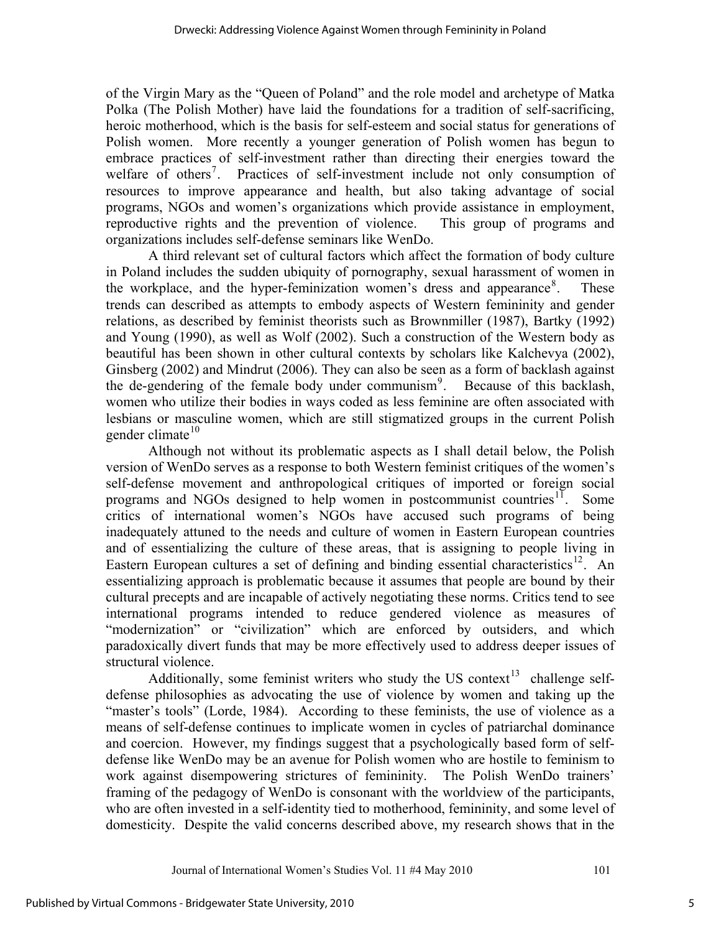of the Virgin Mary as the "Queen of Poland" and the role model and archetype of Matka Polka (The Polish Mother) have laid the foundations for a tradition of self-sacrificing, heroic motherhood, which is the basis for self-esteem and social status for generations of Polish women. More recently a younger generation of Polish women has begun to embrace practices of self-investment rather than directing their energies toward the welfare of others<sup>[7](#page-14-1)</sup>. Practices of self-investment include not only consumption of resources to improve appearance and health, but also taking advantage of social programs, NGOs and women's organizations which provide assistance in employment, reproductive rights and the prevention of violence. This group of programs and organizations includes self-defense seminars like WenDo.

 A third relevant set of cultural factors which affect the formation of body culture in Poland includes the sudden ubiquity of pornography, sexual harassment of women in the workplace, and the hyper-feminization women's dress and appearance  $8$ . . These trends can described as attempts to embody aspects of Western femininity and gender relations, as described by feminist theorists such as Brownmiller (1987), Bartky (1992) and Young (1990), as well as Wolf (2002). Such a construction of the Western body as beautiful has been shown in other cultural contexts by scholars like Kalchevya (2002), Ginsberg (2002) and Mindrut (2006). They can also be seen as a form of backlash against the de-gendering of the female body under communism<sup>[9](#page-14-1)</sup>. Because of this backlash, women who utilize their bodies in ways coded as less feminine are often associated with lesbians or masculine women, which are still stigmatized groups in the current Polish gender climate $10$ 

Although not without its problematic aspects as I shall detail below, the Polish version of WenDo serves as a response to both Western feminist critiques of the women's self-defense movement and anthropological critiques of imported or foreign social programs and NGOs designed to help women in postcommunist countries<sup>[11](#page-14-1)</sup>. Some critics of international women's NGOs have accused such programs of being inadequately attuned to the needs and culture of women in Eastern European countries and of essentializing the culture of these areas, that is assigning to people living in Eastern European cultures a set of defining and binding essential characteristics<sup>[12](#page-14-1)</sup>. An essentializing approach is problematic because it assumes that people are bound by their cultural precepts and are incapable of actively negotiating these norms. Critics tend to see international programs intended to reduce gendered violence as measures of "modernization" or "civilization" which are enforced by outsiders, and which paradoxically divert funds that may be more effectively used to address deeper issues of structural violence.

Additionally, some feminist writers who study the US context<sup>[13](#page-14-1)</sup> challenge selfdefense philosophies as advocating the use of violence by women and taking up the "master's tools" (Lorde, 1984). According to these feminists, the use of violence as a means of self-defense continues to implicate women in cycles of patriarchal dominance and coercion. However, my findings suggest that a psychologically based form of selfdefense like WenDo may be an avenue for Polish women who are hostile to feminism to work against disempowering strictures of femininity. The Polish WenDo trainers' framing of the pedagogy of WenDo is consonant with the worldview of the participants, who are often invested in a self-identity tied to motherhood, femininity, and some level of domesticity. Despite the valid concerns described above, my research shows that in the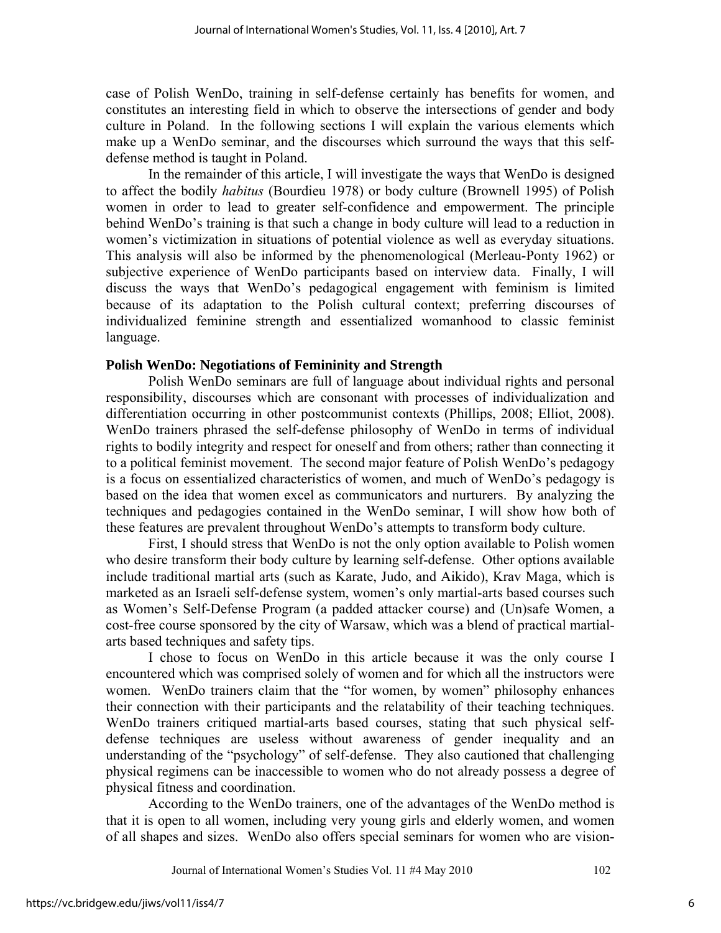case of Polish WenDo, training in self-defense certainly has benefits for women, and constitutes an interesting field in which to observe the intersections of gender and body culture in Poland. In the following sections I will explain the various elements which make up a WenDo seminar, and the discourses which surround the ways that this selfdefense method is taught in Poland.

In the remainder of this article, I will investigate the ways that WenDo is designed to affect the bodily *habitus* (Bourdieu 1978) or body culture (Brownell 1995) of Polish women in order to lead to greater self-confidence and empowerment. The principle behind WenDo's training is that such a change in body culture will lead to a reduction in women's victimization in situations of potential violence as well as everyday situations. This analysis will also be informed by the phenomenological (Merleau-Ponty 1962) or subjective experience of WenDo participants based on interview data. Finally, I will discuss the ways that WenDo's pedagogical engagement with feminism is limited because of its adaptation to the Polish cultural context; preferring discourses of individualized feminine strength and essentialized womanhood to classic feminist language.

#### **Polish WenDo: Negotiations of Femininity and Strength**

Polish WenDo seminars are full of language about individual rights and personal responsibility, discourses which are consonant with processes of individualization and differentiation occurring in other postcommunist contexts (Phillips, 2008; Elliot, 2008). WenDo trainers phrased the self-defense philosophy of WenDo in terms of individual rights to bodily integrity and respect for oneself and from others; rather than connecting it to a political feminist movement. The second major feature of Polish WenDo's pedagogy is a focus on essentialized characteristics of women, and much of WenDo's pedagogy is based on the idea that women excel as communicators and nurturers. By analyzing the techniques and pedagogies contained in the WenDo seminar, I will show how both of these features are prevalent throughout WenDo's attempts to transform body culture.

First, I should stress that WenDo is not the only option available to Polish women who desire transform their body culture by learning self-defense. Other options available include traditional martial arts (such as Karate, Judo, and Aikido), Krav Maga, which is marketed as an Israeli self-defense system, women's only martial-arts based courses such as Women's Self-Defense Program (a padded attacker course) and (Un)safe Women, a cost-free course sponsored by the city of Warsaw, which was a blend of practical martialarts based techniques and safety tips.

I chose to focus on WenDo in this article because it was the only course I encountered which was comprised solely of women and for which all the instructors were women. WenDo trainers claim that the "for women, by women" philosophy enhances their connection with their participants and the relatability of their teaching techniques. WenDo trainers critiqued martial-arts based courses, stating that such physical selfdefense techniques are useless without awareness of gender inequality and an understanding of the "psychology" of self-defense. They also cautioned that challenging physical regimens can be inaccessible to women who do not already possess a degree of physical fitness and coordination.

 According to the WenDo trainers, one of the advantages of the WenDo method is that it is open to all women, including very young girls and elderly women, and women of all shapes and sizes. WenDo also offers special seminars for women who are vision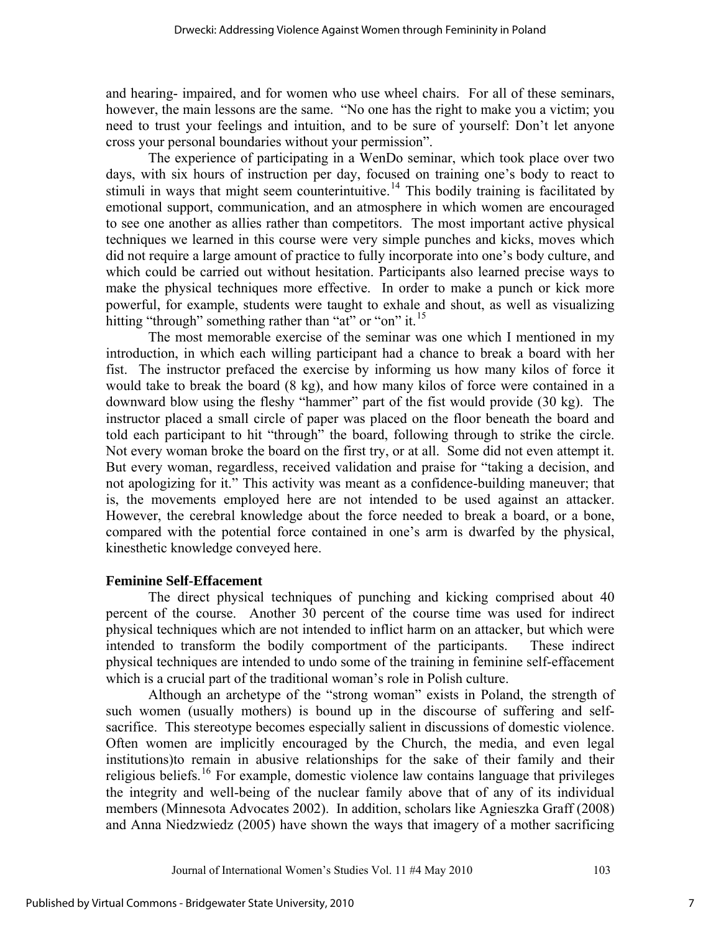and hearing- impaired, and for women who use wheel chairs. For all of these seminars, however, the main lessons are the same. "No one has the right to make you a victim; you need to trust your feelings and intuition, and to be sure of yourself: Don't let anyone cross your personal boundaries without your permission".

 The experience of participating in a WenDo seminar, which took place over two days, with six hours of instruction per day, focused on training one's body to react to stimuli in ways that might seem counterintuitive.<sup>[14](#page-14-1)</sup> This bodily training is facilitated by emotional support, communication, and an atmosphere in which women are encouraged to see one another as allies rather than competitors. The most important active physical techniques we learned in this course were very simple punches and kicks, moves which did not require a large amount of practice to fully incorporate into one's body culture, and which could be carried out without hesitation. Participants also learned precise ways to make the physical techniques more effective. In order to make a punch or kick more powerful, for example, students were taught to exhale and shout, as well as visualizing hitting "through" something rather than "at" or "on" it.<sup>[15](#page-14-1)</sup>

 The most memorable exercise of the seminar was one which I mentioned in my introduction, in which each willing participant had a chance to break a board with her fist. The instructor prefaced the exercise by informing us how many kilos of force it would take to break the board (8 kg), and how many kilos of force were contained in a downward blow using the fleshy "hammer" part of the fist would provide (30 kg). The instructor placed a small circle of paper was placed on the floor beneath the board and told each participant to hit "through" the board, following through to strike the circle. Not every woman broke the board on the first try, or at all. Some did not even attempt it. But every woman, regardless, received validation and praise for "taking a decision, and not apologizing for it." This activity was meant as a confidence-building maneuver; that is, the movements employed here are not intended to be used against an attacker. However, the cerebral knowledge about the force needed to break a board, or a bone, compared with the potential force contained in one's arm is dwarfed by the physical, kinesthetic knowledge conveyed here.

#### **Feminine Self-Effacement**

The direct physical techniques of punching and kicking comprised about 40 percent of the course. Another 30 percent of the course time was used for indirect physical techniques which are not intended to inflict harm on an attacker, but which were intended to transform the bodily comportment of the participants. These indirect physical techniques are intended to undo some of the training in feminine self-effacement which is a crucial part of the traditional woman's role in Polish culture.

 Although an archetype of the "strong woman" exists in Poland, the strength of such women (usually mothers) is bound up in the discourse of suffering and selfsacrifice. This stereotype becomes especially salient in discussions of domestic violence. Often women are implicitly encouraged by the Church, the media, and even legal institutions)to remain in abusive relationships for the sake of their family and their religious beliefs.[16](#page-14-1) For example, domestic violence law contains language that privileges the integrity and well-being of the nuclear family above that of any of its individual members (Minnesota Advocates 2002). In addition, scholars like Agnieszka Graff (2008) and Anna Niedzwiedz (2005) have shown the ways that imagery of a mother sacrificing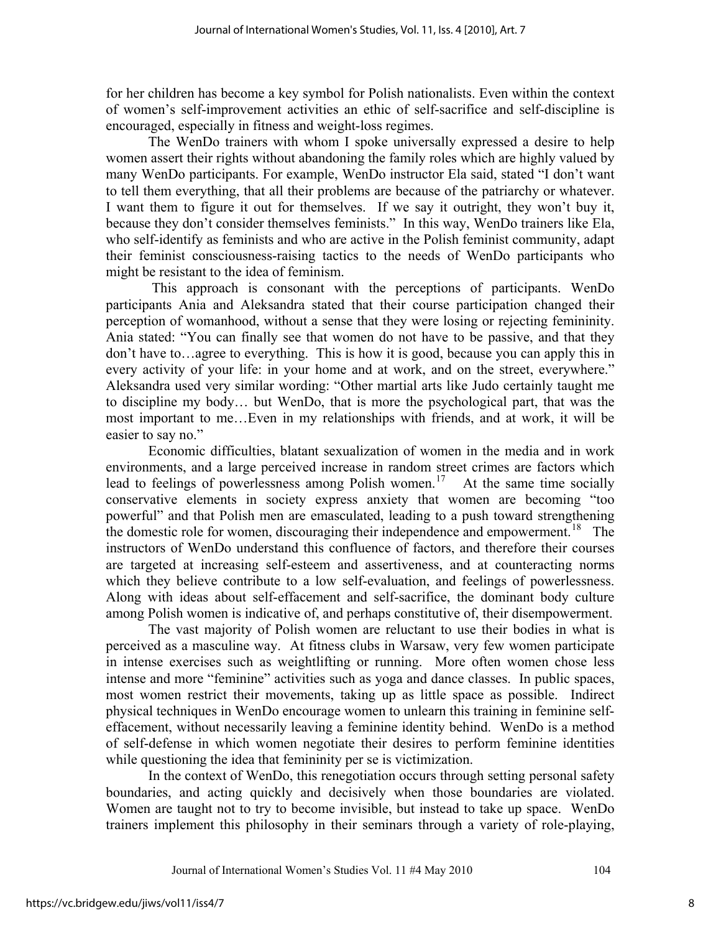for her children has become a key symbol for Polish nationalists. Even within the context of women's self-improvement activities an ethic of self-sacrifice and self-discipline is encouraged, especially in fitness and weight-loss regimes.

The WenDo trainers with whom I spoke universally expressed a desire to help women assert their rights without abandoning the family roles which are highly valued by many WenDo participants. For example, WenDo instructor Ela said, stated "I don't want to tell them everything, that all their problems are because of the patriarchy or whatever. I want them to figure it out for themselves. If we say it outright, they won't buy it, because they don't consider themselves feminists." In this way, WenDo trainers like Ela, who self-identify as feminists and who are active in the Polish feminist community, adapt their feminist consciousness-raising tactics to the needs of WenDo participants who might be resistant to the idea of feminism.

 This approach is consonant with the perceptions of participants. WenDo participants Ania and Aleksandra stated that their course participation changed their perception of womanhood, without a sense that they were losing or rejecting femininity. Ania stated: "You can finally see that women do not have to be passive, and that they don't have to…agree to everything. This is how it is good, because you can apply this in every activity of your life: in your home and at work, and on the street, everywhere." Aleksandra used very similar wording: "Other martial arts like Judo certainly taught me to discipline my body… but WenDo, that is more the psychological part, that was the most important to me…Even in my relationships with friends, and at work, it will be easier to say no."

Economic difficulties, blatant sexualization of women in the media and in work environments, and a large perceived increase in random street crimes are factors which lead to feelings of powerlessness among Polish women.<sup>[17](#page-14-1)</sup> At the same time socially conservative elements in society express anxiety that women are becoming "too powerful" and that Polish men are emasculated, leading to a push toward strengthening the domestic role for women, discouraging their independence and empowerment.<sup>[18](#page-14-1)</sup> The instructors of WenDo understand this confluence of factors, and therefore their courses are targeted at increasing self-esteem and assertiveness, and at counteracting norms which they believe contribute to a low self-evaluation, and feelings of powerlessness. Along with ideas about self-effacement and self-sacrifice, the dominant body culture among Polish women is indicative of, and perhaps constitutive of, their disempowerment.

 The vast majority of Polish women are reluctant to use their bodies in what is perceived as a masculine way. At fitness clubs in Warsaw, very few women participate in intense exercises such as weightlifting or running. More often women chose less intense and more "feminine" activities such as yoga and dance classes. In public spaces, most women restrict their movements, taking up as little space as possible. Indirect physical techniques in WenDo encourage women to unlearn this training in feminine selfeffacement, without necessarily leaving a feminine identity behind. WenDo is a method of self-defense in which women negotiate their desires to perform feminine identities while questioning the idea that femininity per se is victimization.

 In the context of WenDo, this renegotiation occurs through setting personal safety boundaries, and acting quickly and decisively when those boundaries are violated. Women are taught not to try to become invisible, but instead to take up space. WenDo trainers implement this philosophy in their seminars through a variety of role-playing,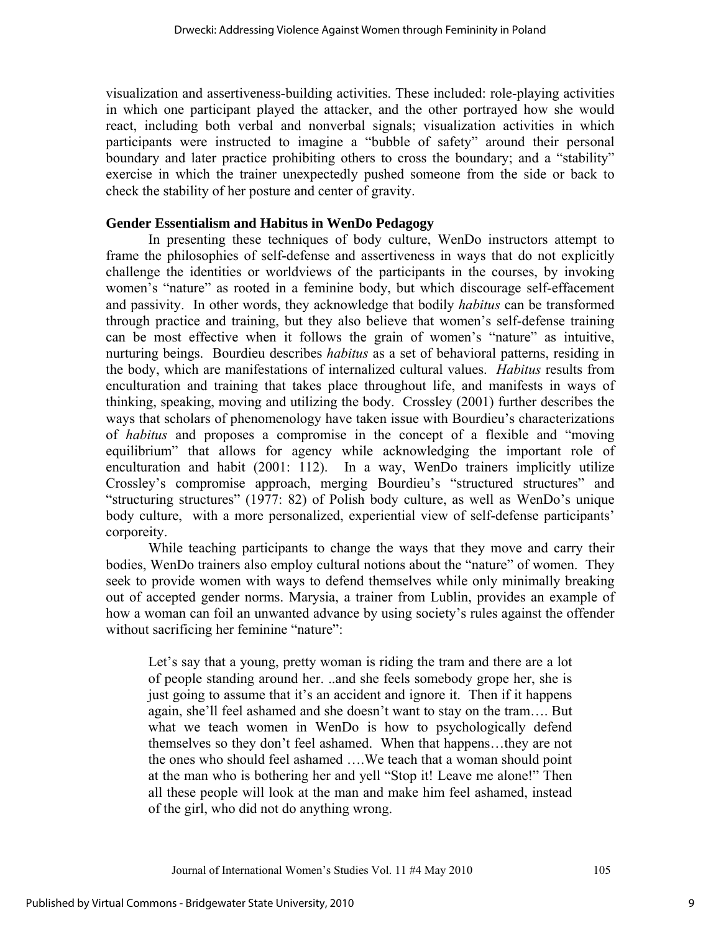visualization and assertiveness-building activities. These included: role-playing activities in which one participant played the attacker, and the other portrayed how she would react, including both verbal and nonverbal signals; visualization activities in which participants were instructed to imagine a "bubble of safety" around their personal boundary and later practice prohibiting others to cross the boundary; and a "stability" exercise in which the trainer unexpectedly pushed someone from the side or back to check the stability of her posture and center of gravity.

#### **Gender Essentialism and Habitus in WenDo Pedagogy**

In presenting these techniques of body culture, WenDo instructors attempt to frame the philosophies of self-defense and assertiveness in ways that do not explicitly challenge the identities or worldviews of the participants in the courses, by invoking women's "nature" as rooted in a feminine body, but which discourage self-effacement and passivity. In other words, they acknowledge that bodily *habitus* can be transformed through practice and training, but they also believe that women's self-defense training can be most effective when it follows the grain of women's "nature" as intuitive, nurturing beings. Bourdieu describes *habitus* as a set of behavioral patterns, residing in the body, which are manifestations of internalized cultural values. *Habitus* results from enculturation and training that takes place throughout life, and manifests in ways of thinking, speaking, moving and utilizing the body. Crossley (2001) further describes the ways that scholars of phenomenology have taken issue with Bourdieu's characterizations of *habitus* and proposes a compromise in the concept of a flexible and "moving equilibrium" that allows for agency while acknowledging the important role of enculturation and habit (2001: 112). In a way, WenDo trainers implicitly utilize Crossley's compromise approach, merging Bourdieu's "structured structures" and "structuring structures" (1977: 82) of Polish body culture, as well as WenDo's unique body culture, with a more personalized, experiential view of self-defense participants' corporeity.

While teaching participants to change the ways that they move and carry their bodies, WenDo trainers also employ cultural notions about the "nature" of women. They seek to provide women with ways to defend themselves while only minimally breaking out of accepted gender norms. Marysia, a trainer from Lublin, provides an example of how a woman can foil an unwanted advance by using society's rules against the offender without sacrificing her feminine "nature":

Let's say that a young, pretty woman is riding the tram and there are a lot of people standing around her. ..and she feels somebody grope her, she is just going to assume that it's an accident and ignore it. Then if it happens again, she'll feel ashamed and she doesn't want to stay on the tram…. But what we teach women in WenDo is how to psychologically defend themselves so they don't feel ashamed. When that happens…they are not the ones who should feel ashamed ….We teach that a woman should point at the man who is bothering her and yell "Stop it! Leave me alone!" Then all these people will look at the man and make him feel ashamed, instead of the girl, who did not do anything wrong.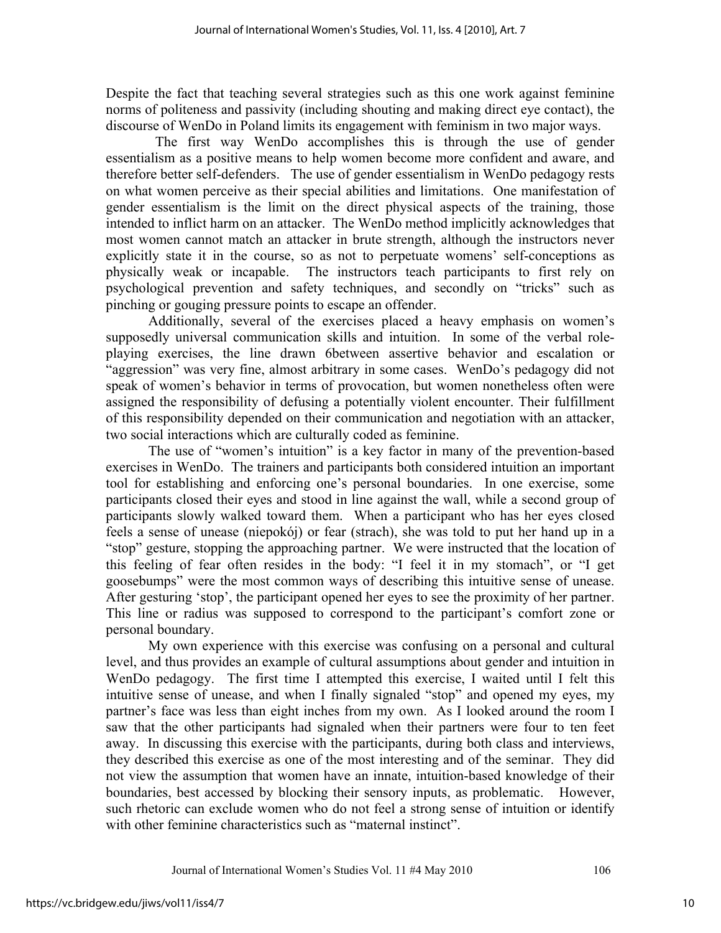Despite the fact that teaching several strategies such as this one work against feminine norms of politeness and passivity (including shouting and making direct eye contact), the discourse of WenDo in Poland limits its engagement with feminism in two major ways.

 The first way WenDo accomplishes this is through the use of gender essentialism as a positive means to help women become more confident and aware, and therefore better self-defenders. The use of gender essentialism in WenDo pedagogy rests on what women perceive as their special abilities and limitations. One manifestation of gender essentialism is the limit on the direct physical aspects of the training, those intended to inflict harm on an attacker. The WenDo method implicitly acknowledges that most women cannot match an attacker in brute strength, although the instructors never explicitly state it in the course, so as not to perpetuate womens' self-conceptions as physically weak or incapable. The instructors teach participants to first rely on psychological prevention and safety techniques, and secondly on "tricks" such as pinching or gouging pressure points to escape an offender.

 Additionally, several of the exercises placed a heavy emphasis on women's supposedly universal communication skills and intuition. In some of the verbal roleplaying exercises, the line drawn 6between assertive behavior and escalation or "aggression" was very fine, almost arbitrary in some cases. WenDo's pedagogy did not speak of women's behavior in terms of provocation, but women nonetheless often were assigned the responsibility of defusing a potentially violent encounter. Their fulfillment of this responsibility depended on their communication and negotiation with an attacker, two social interactions which are culturally coded as feminine.

 The use of "women's intuition" is a key factor in many of the prevention-based exercises in WenDo. The trainers and participants both considered intuition an important tool for establishing and enforcing one's personal boundaries. In one exercise, some participants closed their eyes and stood in line against the wall, while a second group of participants slowly walked toward them. When a participant who has her eyes closed feels a sense of unease (niepokój) or fear (strach), she was told to put her hand up in a "stop" gesture, stopping the approaching partner. We were instructed that the location of this feeling of fear often resides in the body: "I feel it in my stomach", or "I get goosebumps" were the most common ways of describing this intuitive sense of unease. After gesturing 'stop', the participant opened her eyes to see the proximity of her partner. This line or radius was supposed to correspond to the participant's comfort zone or personal boundary.

 My own experience with this exercise was confusing on a personal and cultural level, and thus provides an example of cultural assumptions about gender and intuition in WenDo pedagogy. The first time I attempted this exercise, I waited until I felt this intuitive sense of unease, and when I finally signaled "stop" and opened my eyes, my partner's face was less than eight inches from my own. As I looked around the room I saw that the other participants had signaled when their partners were four to ten feet away. In discussing this exercise with the participants, during both class and interviews, they described this exercise as one of the most interesting and of the seminar. They did not view the assumption that women have an innate, intuition-based knowledge of their boundaries, best accessed by blocking their sensory inputs, as problematic. However, such rhetoric can exclude women who do not feel a strong sense of intuition or identify with other feminine characteristics such as "maternal instinct".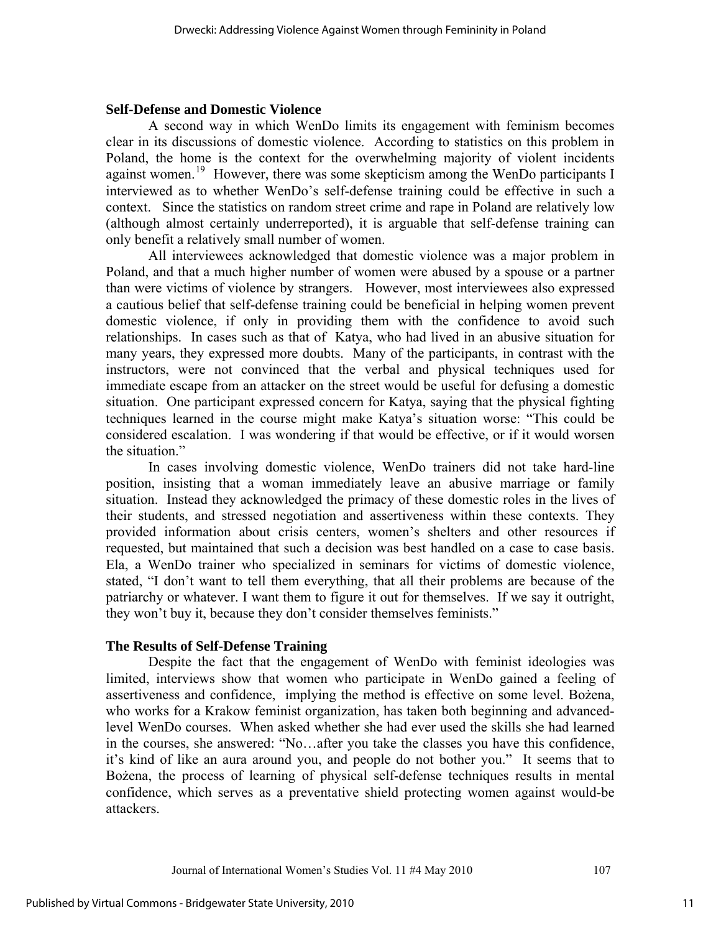#### **Self-Defense and Domestic Violence**

A second way in which WenDo limits its engagement with feminism becomes clear in its discussions of domestic violence. According to statistics on this problem in Poland, the home is the context for the overwhelming majority of violent incidents against women.<sup>[19](#page-14-1)</sup> However, there was some skepticism among the WenDo participants I interviewed as to whether WenDo's self-defense training could be effective in such a context. Since the statistics on random street crime and rape in Poland are relatively low (although almost certainly underreported), it is arguable that self-defense training can only benefit a relatively small number of women.

 All interviewees acknowledged that domestic violence was a major problem in Poland, and that a much higher number of women were abused by a spouse or a partner than were victims of violence by strangers. However, most interviewees also expressed a cautious belief that self-defense training could be beneficial in helping women prevent domestic violence, if only in providing them with the confidence to avoid such relationships. In cases such as that of Katya, who had lived in an abusive situation for many years, they expressed more doubts. Many of the participants, in contrast with the instructors, were not convinced that the verbal and physical techniques used for immediate escape from an attacker on the street would be useful for defusing a domestic situation. One participant expressed concern for Katya, saying that the physical fighting techniques learned in the course might make Katya's situation worse: "This could be considered escalation. I was wondering if that would be effective, or if it would worsen the situation."

 In cases involving domestic violence, WenDo trainers did not take hard-line position, insisting that a woman immediately leave an abusive marriage or family situation. Instead they acknowledged the primacy of these domestic roles in the lives of their students, and stressed negotiation and assertiveness within these contexts. They provided information about crisis centers, women's shelters and other resources if requested, but maintained that such a decision was best handled on a case to case basis. Ela, a WenDo trainer who specialized in seminars for victims of domestic violence, stated, "I don't want to tell them everything, that all their problems are because of the patriarchy or whatever. I want them to figure it out for themselves. If we say it outright, they won't buy it, because they don't consider themselves feminists."

## **The Results of Self-Defense Training**

Despite the fact that the engagement of WenDo with feminist ideologies was limited, interviews show that women who participate in WenDo gained a feeling of assertiveness and confidence, implying the method is effective on some level. Bożena, who works for a Krakow feminist organization, has taken both beginning and advancedlevel WenDo courses. When asked whether she had ever used the skills she had learned in the courses, she answered: "No…after you take the classes you have this confidence, it's kind of like an aura around you, and people do not bother you." It seems that to Bożena, the process of learning of physical self-defense techniques results in mental confidence, which serves as a preventative shield protecting women against would-be attackers.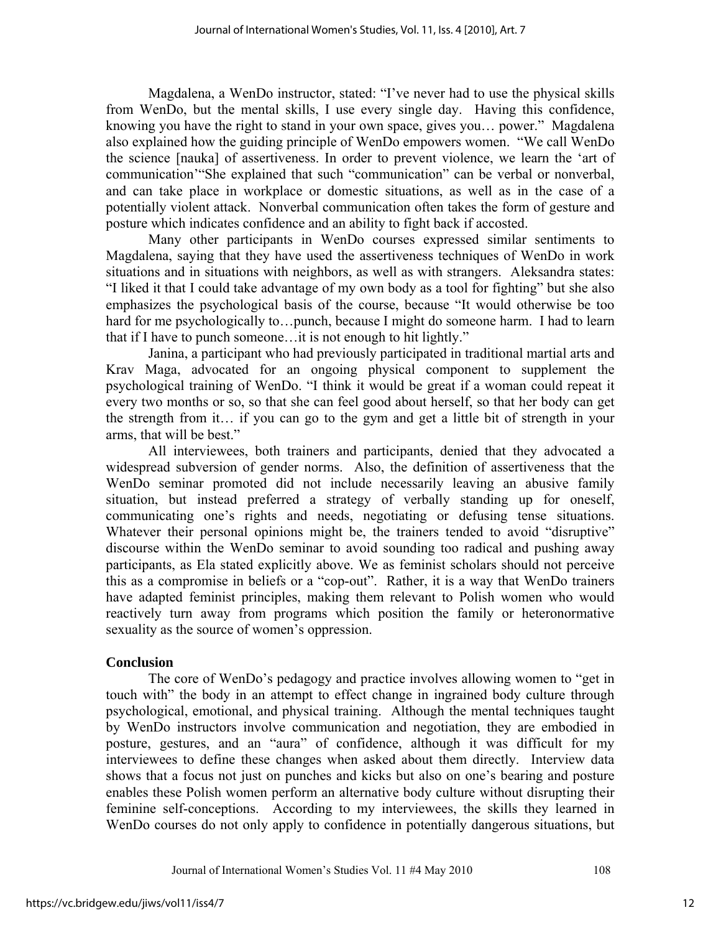Magdalena, a WenDo instructor, stated: "I've never had to use the physical skills from WenDo, but the mental skills, I use every single day. Having this confidence, knowing you have the right to stand in your own space, gives you… power." Magdalena also explained how the guiding principle of WenDo empowers women. "We call WenDo the science [nauka] of assertiveness. In order to prevent violence, we learn the 'art of communication'"She explained that such "communication" can be verbal or nonverbal, and can take place in workplace or domestic situations, as well as in the case of a potentially violent attack. Nonverbal communication often takes the form of gesture and posture which indicates confidence and an ability to fight back if accosted.

Many other participants in WenDo courses expressed similar sentiments to Magdalena, saying that they have used the assertiveness techniques of WenDo in work situations and in situations with neighbors, as well as with strangers. Aleksandra states: "I liked it that I could take advantage of my own body as a tool for fighting" but she also emphasizes the psychological basis of the course, because "It would otherwise be too hard for me psychologically to...punch, because I might do someone harm. I had to learn that if I have to punch someone…it is not enough to hit lightly."

Janina, a participant who had previously participated in traditional martial arts and Krav Maga, advocated for an ongoing physical component to supplement the psychological training of WenDo. "I think it would be great if a woman could repeat it every two months or so, so that she can feel good about herself, so that her body can get the strength from it… if you can go to the gym and get a little bit of strength in your arms, that will be best."

 All interviewees, both trainers and participants, denied that they advocated a widespread subversion of gender norms. Also, the definition of assertiveness that the WenDo seminar promoted did not include necessarily leaving an abusive family situation, but instead preferred a strategy of verbally standing up for oneself, communicating one's rights and needs, negotiating or defusing tense situations. Whatever their personal opinions might be, the trainers tended to avoid "disruptive" discourse within the WenDo seminar to avoid sounding too radical and pushing away participants, as Ela stated explicitly above. We as feminist scholars should not perceive this as a compromise in beliefs or a "cop-out". Rather, it is a way that WenDo trainers have adapted feminist principles, making them relevant to Polish women who would reactively turn away from programs which position the family or heteronormative sexuality as the source of women's oppression.

## **Conclusion**

The core of WenDo's pedagogy and practice involves allowing women to "get in touch with" the body in an attempt to effect change in ingrained body culture through psychological, emotional, and physical training. Although the mental techniques taught by WenDo instructors involve communication and negotiation, they are embodied in posture, gestures, and an "aura" of confidence, although it was difficult for my interviewees to define these changes when asked about them directly. Interview data shows that a focus not just on punches and kicks but also on one's bearing and posture enables these Polish women perform an alternative body culture without disrupting their feminine self-conceptions. According to my interviewees, the skills they learned in WenDo courses do not only apply to confidence in potentially dangerous situations, but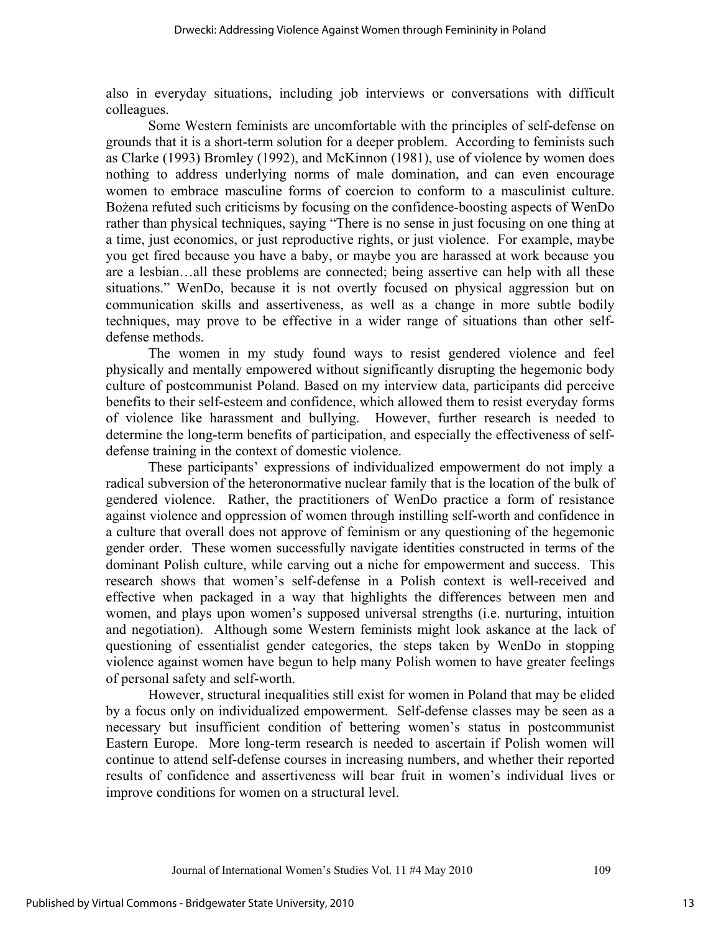also in everyday situations, including job interviews or conversations with difficult colleagues.

 Some Western feminists are uncomfortable with the principles of self-defense on grounds that it is a short-term solution for a deeper problem. According to feminists such as Clarke (1993) Bromley (1992), and McKinnon (1981), use of violence by women does nothing to address underlying norms of male domination, and can even encourage women to embrace masculine forms of coercion to conform to a masculinist culture. Bożena refuted such criticisms by focusing on the confidence-boosting aspects of WenDo rather than physical techniques, saying "There is no sense in just focusing on one thing at a time, just economics, or just reproductive rights, or just violence. For example, maybe you get fired because you have a baby, or maybe you are harassed at work because you are a lesbian…all these problems are connected; being assertive can help with all these situations." WenDo, because it is not overtly focused on physical aggression but on communication skills and assertiveness, as well as a change in more subtle bodily techniques, may prove to be effective in a wider range of situations than other selfdefense methods.

 The women in my study found ways to resist gendered violence and feel physically and mentally empowered without significantly disrupting the hegemonic body culture of postcommunist Poland. Based on my interview data, participants did perceive benefits to their self-esteem and confidence, which allowed them to resist everyday forms of violence like harassment and bullying. However, further research is needed to determine the long-term benefits of participation, and especially the effectiveness of selfdefense training in the context of domestic violence.

These participants' expressions of individualized empowerment do not imply a radical subversion of the heteronormative nuclear family that is the location of the bulk of gendered violence. Rather, the practitioners of WenDo practice a form of resistance against violence and oppression of women through instilling self-worth and confidence in a culture that overall does not approve of feminism or any questioning of the hegemonic gender order. These women successfully navigate identities constructed in terms of the dominant Polish culture, while carving out a niche for empowerment and success. This research shows that women's self-defense in a Polish context is well-received and effective when packaged in a way that highlights the differences between men and women, and plays upon women's supposed universal strengths (i.e. nurturing, intuition and negotiation). Although some Western feminists might look askance at the lack of questioning of essentialist gender categories, the steps taken by WenDo in stopping violence against women have begun to help many Polish women to have greater feelings of personal safety and self-worth.

However, structural inequalities still exist for women in Poland that may be elided by a focus only on individualized empowerment. Self-defense classes may be seen as a necessary but insufficient condition of bettering women's status in postcommunist Eastern Europe. More long-term research is needed to ascertain if Polish women will continue to attend self-defense courses in increasing numbers, and whether their reported results of confidence and assertiveness will bear fruit in women's individual lives or improve conditions for women on a structural level.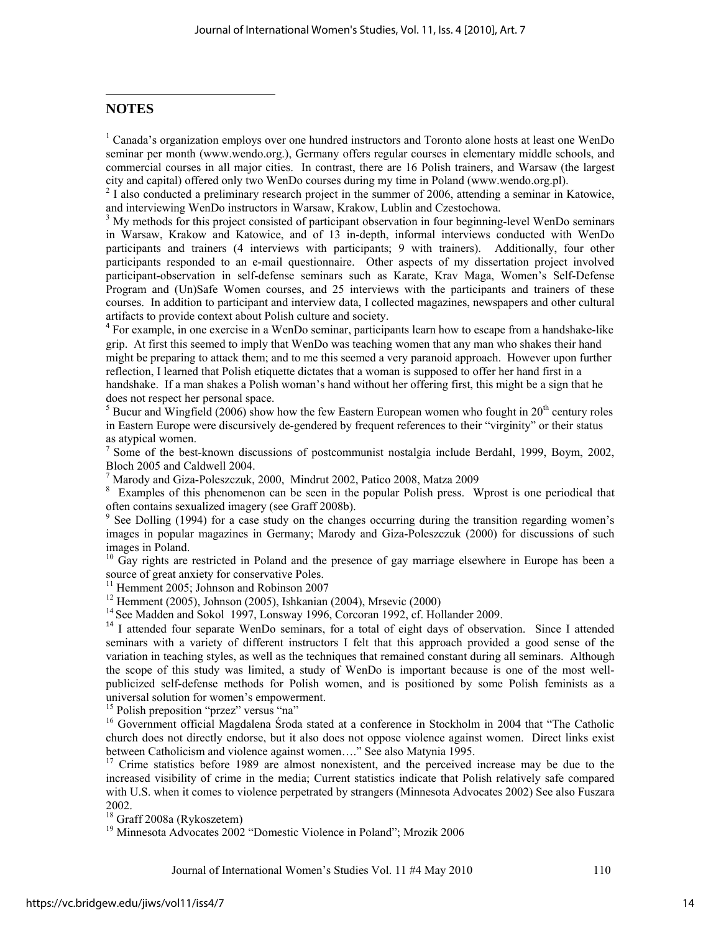#### <span id="page-14-1"></span><span id="page-14-0"></span>**NOTES**

<sup>1</sup> Canada's organization employs over one hundred instructors and Toronto alone hosts at least one WenDo seminar per month (www.wendo.org.), Germany offers regular courses in elementary middle schools, and commercial courses in all major cities. In contrast, there are 16 Polish trainers, and Warsaw (the largest city and capital) offered only two WenDo courses during my time in Poland (www.wendo.org.pl). 2 I also conducted a preliminary research project in the summer of 2006, attending a seminar in Katowice,

and interviewing WenDo instructors in Warsaw, Krakow, Lublin and Czestochowa. 3

 $3$  My methods for this project consisted of participant observation in four beginning-level WenDo seminars in Warsaw, Krakow and Katowice, and of 13 in-depth, informal interviews conducted with WenDo participants and trainers (4 interviews with participants; 9 with trainers). Additionally, four other participants responded to an e-mail questionnaire. Other aspects of my dissertation project involved participant-observation in self-defense seminars such as Karate, Krav Maga, Women's Self-Defense Program and (Un)Safe Women courses, and 25 interviews with the participants and trainers of these courses. In addition to participant and interview data, I collected magazines, newspapers and other cultural artifacts to provide context about Polish culture and society.

<sup>4</sup> For example, in one exercise in a WenDo seminar, participants learn how to escape from a handshake-like grip. At first this seemed to imply that WenDo was teaching women that any man who shakes their hand might be preparing to attack them; and to me this seemed a very paranoid approach. However upon further reflection, I learned that Polish etiquette dictates that a woman is supposed to offer her hand first in a handshake. If a man shakes a Polish woman's hand without her offering first, this might be a sign that he does not respect her personal space.

 $<sup>5</sup>$  Bucur and Wingfield (2006) show how the few Eastern European women who fought in 20<sup>th</sup> century roles</sup> in Eastern Europe were discursively de-gendered by frequent references to their "virginity" or their status as atypical women.

<sup>7</sup> Some of the best-known discussions of postcommunist nostalgia include Berdahl, 1999, Boym, 2002, Bloch 2005 and Caldwell 2004.

7 Marody and Giza-Poleszczuk, 2000, Mindrut 2002, Patico 2008, Matza 2009

<sup>8</sup> Examples of this phenomenon can be seen in the popular Polish press. Wprost is one periodical that often contains sexualized imagery (see Graff 2008b). 9

 See Dolling (1994) for a case study on the changes occurring during the transition regarding women's images in popular magazines in Germany; Marody and Giza-Poleszczuk (2000) for discussions of such images in Poland.

<sup>10</sup> Gay rights are restricted in Poland and the presence of gay marriage elsewhere in Europe has been a source of great anxiety for conservative Poles.

<sup>11</sup> Hemment 2005; Johnson and Robinson 2007

12 Hemment (2005), Johnson (2005), Ishkanian (2004), Mrsevic (2000)

<sup>14</sup> See Madden and Sokol 1997, Lonsway 1996, Corcoran 1992, cf. Hollander 2009.

<sup>14</sup> I attended four separate WenDo seminars, for a total of eight days of observation. Since I attended seminars with a variety of different instructors I felt that this approach provided a good sense of the variation in teaching styles, as well as the techniques that remained constant during all seminars. Although the scope of this study was limited, a study of WenDo is important because is one of the most wellpublicized self-defense methods for Polish women, and is positioned by some Polish feminists as a universal solution for women's empowerment.

<sup>15</sup> Polish preposition "przez" versus "na"

<sup>16</sup> Government official Magdalena Środa stated at a conference in Stockholm in 2004 that "The Catholic church does not directly endorse, but it also does not oppose violence against women. Direct links exist between Catholicism and violence against women…." See also Matynia 1995.

<sup>17</sup> Crime statistics before 1989 are almost nonexistent, and the perceived increase may be due to the increased visibility of crime in the media; Current statistics indicate that Polish relatively safe compared with U.S. when it comes to violence perpetrated by strangers (Minnesota Advocates 2002) See also Fuszara 2002.

18 Graff 2008a (Rykoszetem)

<sup>19</sup> Minnesota Advocates 2002 "Domestic Violence in Poland"; Mrozik 2006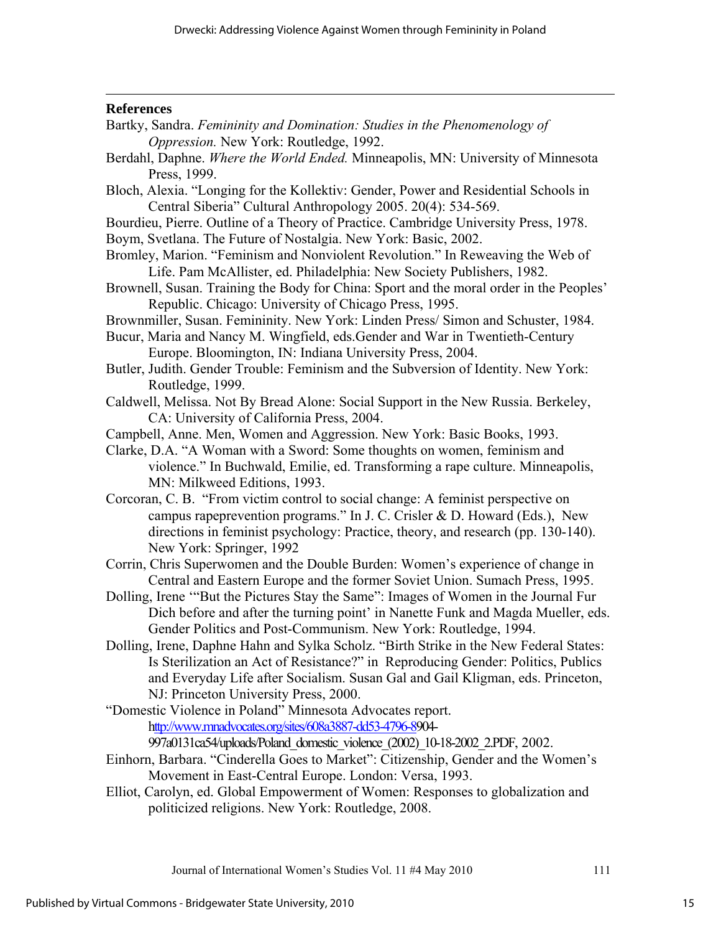<u> 1989 - Johann Stoff, amerikansk politiker (d. 1989)</u>

#### **References**

- Bartky, Sandra. *Femininity and Domination: Studies in the Phenomenology of Oppression.* New York: Routledge, 1992.
- Berdahl, Daphne. *Where the World Ended.* Minneapolis, MN: University of Minnesota Press, 1999.
- Bloch, Alexia. "Longing for the Kollektiv: Gender, Power and Residential Schools in Central Siberia" Cultural Anthropology 2005. 20(4): 534-569.
- Bourdieu, Pierre. Outline of a Theory of Practice. Cambridge University Press, 1978.

Boym, Svetlana. The Future of Nostalgia. New York: Basic, 2002.

- Bromley, Marion. "Feminism and Nonviolent Revolution." In Reweaving the Web of Life. Pam McAllister, ed. Philadelphia: New Society Publishers, 1982.
- Brownell, Susan. Training the Body for China: Sport and the moral order in the Peoples' Republic. Chicago: University of Chicago Press, 1995.
- Brownmiller, Susan. Femininity. New York: Linden Press/ Simon and Schuster, 1984.
- Bucur, Maria and Nancy M. Wingfield, eds.Gender and War in Twentieth-Century Europe. Bloomington, IN: Indiana University Press, 2004.
- Butler, Judith. Gender Trouble: Feminism and the Subversion of Identity. New York: Routledge, 1999.
- Caldwell, Melissa. Not By Bread Alone: Social Support in the New Russia. Berkeley, CA: University of California Press, 2004.
- Campbell, Anne. Men, Women and Aggression. New York: Basic Books, 1993.
- Clarke, D.A. "A Woman with a Sword: Some thoughts on women, feminism and violence." In Buchwald, Emilie, ed. Transforming a rape culture. Minneapolis, MN: Milkweed Editions, 1993.
- Corcoran, C. B. "From victim control to social change: A feminist perspective on campus rapeprevention programs." In J. C. Crisler & D. Howard (Eds.), New directions in feminist psychology: Practice, theory, and research (pp. 130-140). New York: Springer, 1992
- Corrin, Chris Superwomen and the Double Burden: Women's experience of change in Central and Eastern Europe and the former Soviet Union. Sumach Press, 1995.
- Dolling, Irene '"But the Pictures Stay the Same": Images of Women in the Journal Fur Dich before and after the turning point' in Nanette Funk and Magda Mueller, eds. Gender Politics and Post-Communism. New York: Routledge, 1994.
- Dolling, Irene, Daphne Hahn and Sylka Scholz. "Birth Strike in the New Federal States: Is Sterilization an Act of Resistance?" in Reproducing Gender: Politics, Publics and Everyday Life after Socialism. Susan Gal and Gail Kligman, eds. Princeton, NJ: Princeton University Press, 2000.
- "Domestic Violence in Poland" Minnesota Advocates report. http://www.mnadvocates.org/sites/608a3887-dd53-4796-8904-

997a0131ca54/uploads/Poland\_domestic\_violence\_(2002)\_10-18-2002\_2.PDF, 2002.

- Einhorn, Barbara. "Cinderella Goes to Market": Citizenship, Gender and the Women's Movement in East-Central Europe. London: Versa, 1993.
- Elliot, Carolyn, ed. Global Empowerment of Women: Responses to globalization and politicized religions. New York: Routledge, 2008.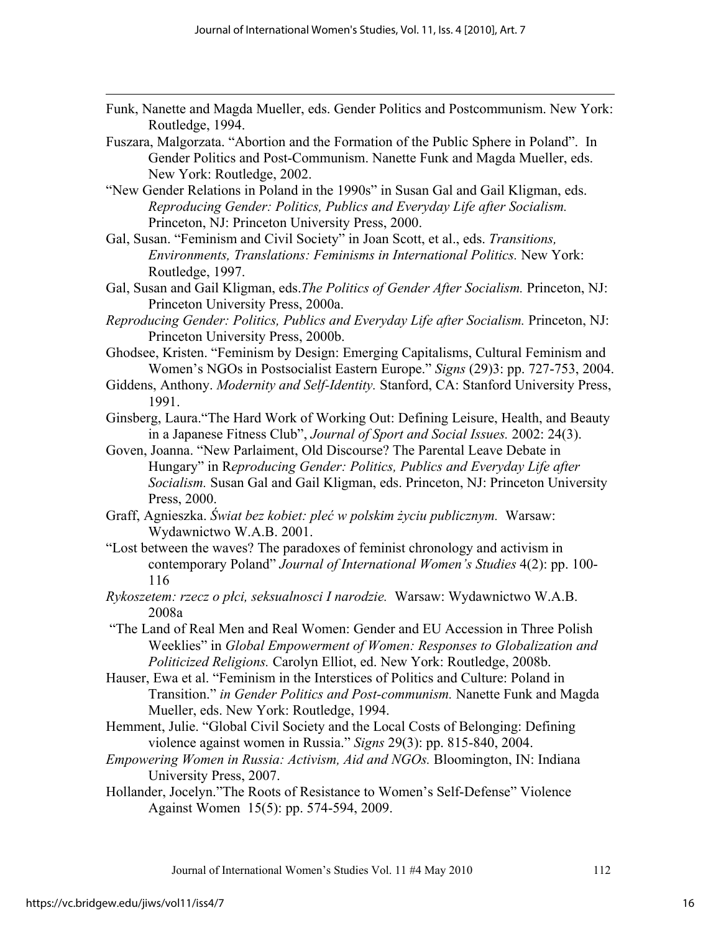Funk, Nanette and Magda Mueller, eds. Gender Politics and Postcommunism. New York: Routledge, 1994.

<u> 1989 - Johann Stoff, amerikansk politiker (d. 1989)</u>

- Fuszara, Malgorzata. "Abortion and the Formation of the Public Sphere in Poland". In Gender Politics and Post-Communism. Nanette Funk and Magda Mueller, eds. New York: Routledge, 2002.
- "New Gender Relations in Poland in the 1990s" in Susan Gal and Gail Kligman, eds. *Reproducing Gender: Politics, Publics and Everyday Life after Socialism.* Princeton, NJ: Princeton University Press, 2000.
- Gal, Susan. "Feminism and Civil Society" in Joan Scott, et al., eds. *Transitions, Environments, Translations: Feminisms in International Politics.* New York: Routledge, 1997.
- Gal, Susan and Gail Kligman, eds.*The Politics of Gender After Socialism.* Princeton, NJ: Princeton University Press, 2000a.
- *Reproducing Gender: Politics, Publics and Everyday Life after Socialism.* Princeton, NJ: Princeton University Press, 2000b.
- Ghodsee, Kristen. "Feminism by Design: Emerging Capitalisms, Cultural Feminism and Women's NGOs in Postsocialist Eastern Europe." *Signs* (29)3: pp. 727-753, 2004.
- Giddens, Anthony. *Modernity and Self-Identity.* Stanford, CA: Stanford University Press, 1991.
- Ginsberg, Laura."The Hard Work of Working Out: Defining Leisure, Health, and Beauty in a Japanese Fitness Club", *Journal of Sport and Social Issues.* 2002: 24(3).
- Goven, Joanna. "New Parlaiment, Old Discourse? The Parental Leave Debate in Hungary" in R*eproducing Gender: Politics, Publics and Everyday Life after Socialism.* Susan Gal and Gail Kligman, eds. Princeton, NJ: Princeton University Press, 2000.
- Graff, Agnieszka. *Świat bez kobiet: pleć w polskim życiu publicznym.* Warsaw: Wydawnictwo W.A.B. 2001.
- "Lost between the waves? The paradoxes of feminist chronology and activism in contemporary Poland" *Journal of International Women's Studies* 4(2): pp. 100- 116
- *Rykoszetem: rzecz o płci, seksualnosci I narodzie.* Warsaw: Wydawnictwo W.A.B. 2008a
- "The Land of Real Men and Real Women: Gender and EU Accession in Three Polish Weeklies" in *Global Empowerment of Women: Responses to Globalization and Politicized Religions.* Carolyn Elliot, ed. New York: Routledge, 2008b.
- Hauser, Ewa et al. "Feminism in the Interstices of Politics and Culture: Poland in Transition." *in Gender Politics and Post-communism.* Nanette Funk and Magda Mueller, eds. New York: Routledge, 1994.
- Hemment, Julie. "Global Civil Society and the Local Costs of Belonging: Defining violence against women in Russia." *Signs* 29(3): pp. 815-840, 2004.
- *Empowering Women in Russia: Activism, Aid and NGOs.* Bloomington, IN: Indiana University Press, 2007.
- Hollander, Jocelyn."The Roots of Resistance to Women's Self-Defense" Violence Against Women 15(5): pp. 574-594, 2009.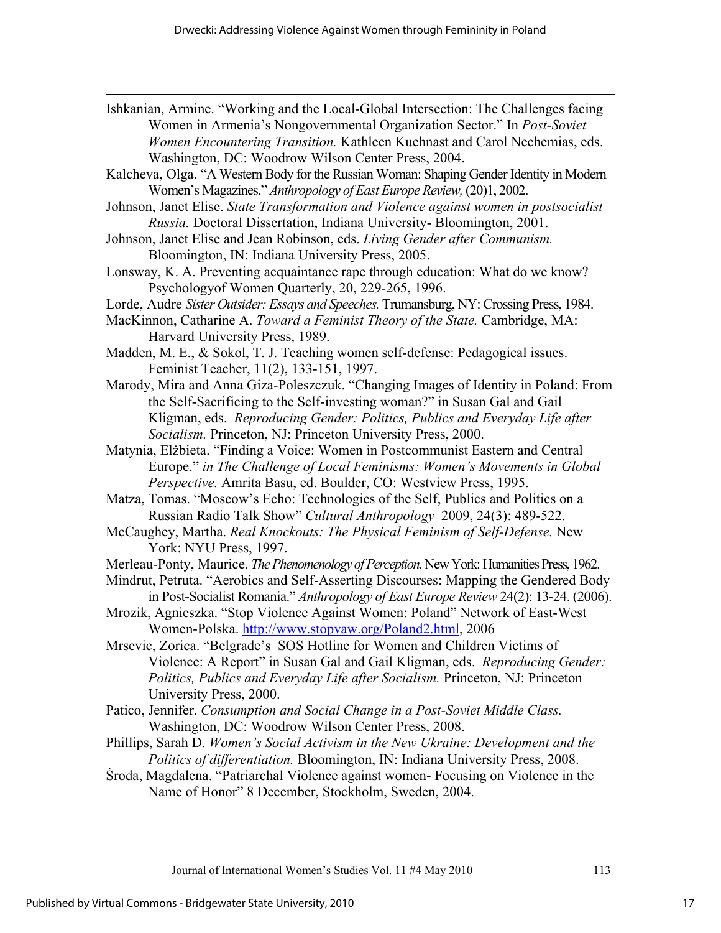Ishkanian, Armine. "Working and the Local-Global Intersection: The Challenges facing Women in Armenia's Nongovernmental Organization Sector." In *Post-Soviet Women Encountering Transition.* Kathleen Kuehnast and Carol Nechemias, eds. Washington, DC: Woodrow Wilson Center Press, 2004.

<u> 1989 - Johann Stoff, amerikansk politiker (d. 1989)</u>

- Kalcheva, Olga. "A Western Body for the Russian Woman: Shaping Gender Identity in Modern Women's Magazines." *Anthropology of East Europe Review,* (20)1, 2002.
- Johnson, Janet Elise. *State Transformation and Violence against women in postsocialist Russia.* Doctoral Dissertation, Indiana University- Bloomington, 2001.
- Johnson, Janet Elise and Jean Robinson, eds. *Living Gender after Communism.* Bloomington, IN: Indiana University Press, 2005.
- Lonsway, K. A. Preventing acquaintance rape through education: What do we know? Psychologyof Women Quarterly, 20, 229-265, 1996.
- Lorde, Audre *Sister Outsider: Essays and Speeches.* Trumansburg, NY: Crossing Press, 1984.
- MacKinnon, Catharine A. *Toward a Feminist Theory of the State.* Cambridge, MA: Harvard University Press, 1989.
- Madden, M. E., & Sokol, T. J. Teaching women self-defense: Pedagogical issues. Feminist Teacher, 11(2), 133-151, 1997.
- Marody, Mira and Anna Giza-Poleszczuk. "Changing Images of Identity in Poland: From the Self-Sacrificing to the Self-investing woman?" in Susan Gal and Gail Kligman, eds. *Reproducing Gender: Politics, Publics and Everyday Life after Socialism.* Princeton, NJ: Princeton University Press, 2000.
- Matynia, Elżbieta. "Finding a Voice: Women in Postcommunist Eastern and Central Europe." *in The Challenge of Local Feminisms: Women's Movements in Global Perspective.* Amrita Basu, ed. Boulder, CO: Westview Press, 1995.
- Matza, Tomas. "Moscow's Echo: Technologies of the Self, Publics and Politics on a Russian Radio Talk Show" *Cultural Anthropology* 2009, 24(3): 489-522.
- McCaughey, Martha. *Real Knockouts: The Physical Feminism of Self-Defense.* New York: NYU Press, 1997.
- Merleau-Ponty, Maurice. *The Phenomenology of Perception.* New York: Humanities Press, 1962.
- Mindrut, Petruta. "Aerobics and Self-Asserting Discourses: Mapping the Gendered Body in Post-Socialist Romania." *Anthropology of East Europe Review* 24(2): 13-24. (2006).
- Mrozik, Agnieszka. "Stop Violence Against Women: Poland" Network of East-West Women-Polska. <http://www.stopvaw.org/Poland2.html>, 2006
- Mrsevic, Zorica. "Belgrade's SOS Hotline for Women and Children Victims of Violence: A Report" in Susan Gal and Gail Kligman, eds. *Reproducing Gender: Politics, Publics and Everyday Life after Socialism.* Princeton, NJ: Princeton University Press, 2000.
- Patico, Jennifer. *Consumption and Social Change in a Post-Soviet Middle Class.*  Washington, DC: Woodrow Wilson Center Press, 2008.
- Phillips, Sarah D. *Women's Social Activism in the New Ukraine: Development and the Politics of differentiation.* Bloomington, IN: Indiana University Press, 2008.
- Środa, Magdalena. "Patriarchal Violence against women- Focusing on Violence in the Name of Honor" 8 December, Stockholm, Sweden, 2004.